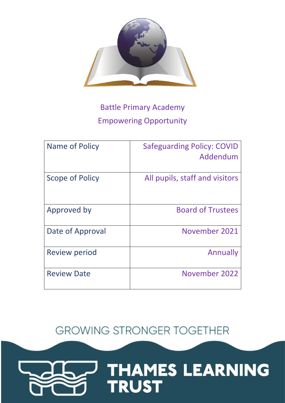

# Battle Primary Academy Empowering Opportunity

| Name of Policy       | <b>Safeguarding Policy: COVID</b><br>Addendum |
|----------------------|-----------------------------------------------|
| Scope of Policy      | All pupils, staff and visitors                |
| Approved by          | <b>Board of Trustees</b>                      |
| Date of Approval     | November 2021                                 |
| <b>Review period</b> | Annually                                      |
| <b>Review Date</b>   | November 2022                                 |

**GROWING STRONGER TOGETHER** 

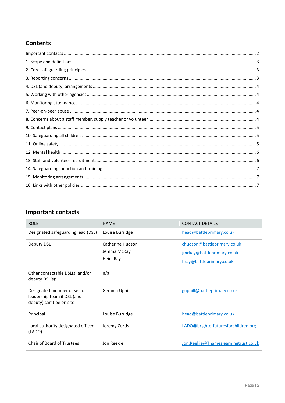# **Contents**

# <span id="page-1-0"></span>**Important contacts**

| <b>ROLE</b>                                                                            | <b>NAME</b>                                  | <b>CONTACT DETAILS</b>                                                                |
|----------------------------------------------------------------------------------------|----------------------------------------------|---------------------------------------------------------------------------------------|
| Designated safeguarding lead (DSL)                                                     | Louise Burridge                              | head@battleprimary.co.uk                                                              |
| Deputy DSL                                                                             | Catherine Hudson<br>Jemma McKay<br>Heidi Ray | chudson@battleprimary.co.uk<br>jmckay@battleprimary.co.uk<br>hray@battleprimary.co.uk |
| Other contactable DSL(s) and/or<br>deputy DSL(s):                                      | n/a                                          |                                                                                       |
| Designated member of senior<br>leadership team if DSL (and<br>deputy) can't be on site | Gemma Uphill                                 | guphill@battleprimary.co.uk                                                           |
| Principal                                                                              | Louise Burridge                              | head@battleprimary.co.uk                                                              |
| Local authority designated officer<br>(LADO)                                           | Jeremy Curtis                                | LADO@brighterfuturesforchildren.org                                                   |
| Chair of Board of Trustees                                                             | Jon Reekie                                   | Jon.Reekie@Thameslearningtrust.co.uk                                                  |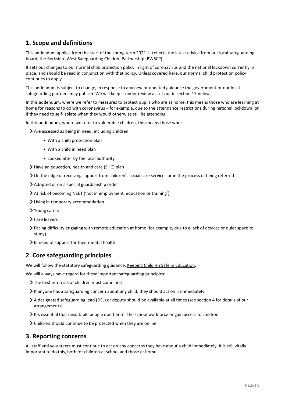# <span id="page-2-0"></span>**1. Scope and definitions**

This addendum applies from the start of the spring term 2021. It reflects the latest advice from our local safeguarding board, the Berkshire West Safeguarding Children Partnership (BWSCP).

It sets out changes to our normal child protection policy in light of coronavirus and the national lockdown currently in place, and should be read in conjunction with that policy. Unless covered here, our normal child protection policy continues to apply.

This addendum is subject to change, in response to any new or updated guidance the government or our local safeguarding partners may publish. We will keep it under review as set out in section 15 below.

In this addendum, where we refer to measures to protect pupils who are at home, this means those who are learning at home for reasons to do with coronavirus – for example, due to the attendance restrictions during national lockdown, or if they need to self-isolate when they would otherwise still be attending.

In this addendum, where we refer to vulnerable children, this means those who:

Are assessed as being in need, including children:

- With a child protection plan
- With a child in need plan
- Looked after by the local authority
- Have an education, health and care (EHC) plan
- On the edge of receiving support from children's social care services or in the process of being referred
- Adopted or on a special guardianship order
- At risk of becoming NEET ('not in employment, education or training')
- Living in temporary accommodation
- Young carers
- > Care leavers
- Facing difficulty engaging with remote education at home (for example, due to a lack of devices or quiet space to study)
- In need of support for their mental health

# <span id="page-2-1"></span>**2. Core safeguarding principles**

We will follow the statutory safeguarding guidance, [Keeping Children Safe in Education.](https://www.gov.uk/government/publications/keeping-children-safe-in-education--2)

We will always have regard for these important safeguarding principles:

- > The best interests of children must come first
- $\triangleright$  If anyone has a safeguarding concern about any child, they should act on it immediately
- A designated safeguarding lead (DSL) or deputy should be available at all times (see section 4 for details of our arrangements)
- $\triangleright$  It's essential that unsuitable people don't enter the school workforce or gain access to children
- Children should continue to be protected when they are online

### <span id="page-2-2"></span>**3. Reporting concerns**

All staff and volunteers must continue to act on any concerns they have about a child immediately. It is still vitally important to do this, both for children at school and those at home.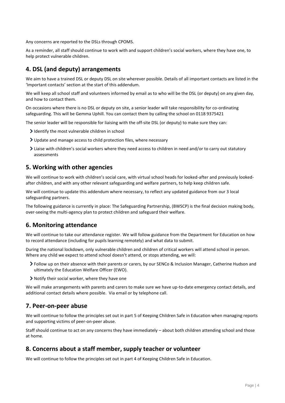Any concerns are reported to the DSLs through CPOMS.

As a reminder, all staff should continue to work with and support children's social workers, where they have one, to help protect vulnerable children.

# <span id="page-3-0"></span>**4. DSL (and deputy) arrangements**

We aim to have a trained DSL or deputy DSL on site wherever possible. Details of all important contacts are listed in the 'Important contacts' section at the start of this addendum.

We will keep all school staff and volunteers informed by email as to who will be the DSL (or deputy) on any given day, and how to contact them.

On occasions where there is no DSL or deputy on site, a senior leader will take responsibility for co-ordinating safeguarding. This will be Gemma Uphill. You can contact them by calling the school on 0118 9375421

The senior leader will be responsible for liaising with the off-site DSL (or deputy) to make sure they can:

- I dentify the most vulnerable children in school
- Update and manage access to child protection files, where necessary
- Liaise with children's social workers where they need access to children in need and/or to carry out statutory assessments

# <span id="page-3-1"></span>**5. Working with other agencies**

We will continue to work with children's social care, with virtual school heads for looked-after and previously lookedafter children, and with any other relevant safeguarding and welfare partners, to help keep children safe.

We will continue to update this addendum where necessary, to reflect any updated guidance from our 3 local safeguarding partners.

The following guidance is currently in place: The Safeguarding Partnership, (BWSCP) is the final decision making body, over-seeing the multi-agency plan to protect children and safeguard their welfare.

# <span id="page-3-2"></span>**6. Monitoring attendance**

We will continue to take our attendance register. We will follow guidance from the Department for Education on how to record attendance (including for pupils learning remotely) and what data to submit.

During the national lockdown, only vulnerable children and children of critical workers will attend school in person. Where any child we expect to attend school doesn't attend, or stops attending, we will:

- Follow up on their absence with their parents or carers, by our SENCo & Inclusion Manager, Catherine Hudson and ultimately the Education Welfare Officer (EWO).
- Notify their social worker, where they have one

We will make arrangements with parents and carers to make sure we have up-to-date emergency contact details, and additional contact details where possible. Via email or by telephone call.

### <span id="page-3-3"></span>**7. Peer-on-peer abuse**

We will continue to follow the principles set out in part 5 of Keeping Children Safe in Education when managing reports and supporting victims of peer-on-peer abuse.

Staff should continue to act on any concerns they have immediately – about both children attending school and those at home.

# <span id="page-3-4"></span>**8. Concerns about a staff member, supply teacher or volunteer**

We will continue to follow the principles set out in part 4 of Keeping Children Safe in Education.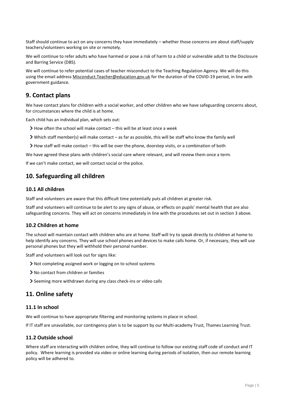Staff should continue to act on any concerns they have immediately – whether those concerns are about staff/supply teachers/volunteers working on site or remotely.

We will continue to refer adults who have harmed or pose a risk of harm to a child or vulnerable adult to the Disclosure and Barring Service (DBS).

We will continue to refer potential cases of teacher misconduct to the Teaching Regulation Agency. We will do this using the email address [Misconduct.Teacher@education.gov.uk](mailto:Misconduct.Teacher@education.gov.uk) for the duration of the COVID-19 period, in line with government guidance.

# <span id="page-4-0"></span>**9. Contact plans**

We have contact plans for children with a social worker, and other children who we have safeguarding concerns about, for circumstances where the child is at home.

Each child has an individual plan, which sets out:

- $\blacktriangleright$  How often the school will make contact this will be at least once a week
- Which staff member(s) will make contact as far as possible, this will be staff who know the family well
- How staff will make contact this will be over the phone, doorstep visits, or a combination of both

We have agreed these plans with children's social care where relevant, and will review them once a term.

If we can't make contact, we will contact social or the police.

# <span id="page-4-1"></span>**10. Safeguarding all children**

#### **10.1 All children**

Staff and volunteers are aware that this difficult time potentially puts all children at greater risk.

Staff and volunteers will continue to be alert to any signs of abuse, or effects on pupils' mental health that are also safeguarding concerns. They will act on concerns immediately in line with the procedures set out in section 3 above.

#### **10.2 Children at home**

The school will maintain contact with children who are at home. Staff will try to speak directly to children at home to help identify any concerns. They will use school phones and devices to make calls home. Or, if necessary, they will use personal phones but they will withhold their personal number.

Staff and volunteers will look out for signs like:

- Not completing assigned work or logging on to school systems
- No contact from children or families
- Seeming more withdrawn during any class check-ins or video calls

### <span id="page-4-2"></span>**11. Online safety**

#### **11.1 In school**

We will continue to have appropriate filtering and monitoring systems in place in school.

If IT staff are unavailable, our contingency plan is to be support by our Multi-academy Trust, Thames Learning Trust.

#### **11.2 Outside school**

Where staff are interacting with children online, they will continue to follow our existing staff code of conduct and IT policy. Where learning is provided via video or online learning during periods of isolation, then our remote learning policy will be adhered to.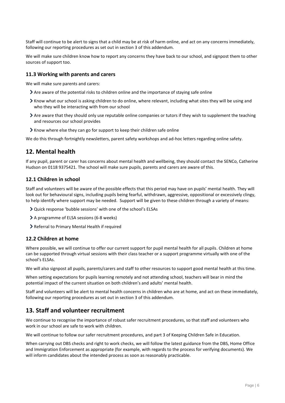Staff will continue to be alert to signs that a child may be at risk of harm online, and act on any concerns immediately, following our reporting procedures as set out in section 3 of this addendum.

We will make sure children know how to report any concerns they have back to our school, and signpost them to other sources of support too.

#### **11.3 Working with parents and carers**

We will make sure parents and carers:

- Are aware of the potential risks to children online and the importance of staying safe online
- Know what our school is asking children to do online, where relevant, including what sites they will be using and who they will be interacting with from our school
- Are aware that they should only use reputable online companies or tutors if they wish to supplement the teaching and resources our school provides
- Know where else they can go for support to keep their children safe online

We do this through fortnightly newsletters, parent safety workshops and ad-hoc letters regarding online safety.

# <span id="page-5-0"></span>**12. Mental health**

If any pupil, parent or carer has concerns about mental health and wellbeing, they should contact the SENCo, Catherine Hudson on 0118 9375421. The school will make sure pupils, parents and carers are aware of this.

#### **12.1 Children in school**

Staff and volunteers will be aware of the possible effects that this period may have on pupils' mental health. They will look out for behavioural signs, including pupils being fearful, withdrawn, aggressive, oppositional or excessively clingy, to help identify where support may be needed. Support will be given to these children through a variety of means:

- Quick response 'bubble sessions' with one of the school's ELSAs
- A programme of ELSA sessions (6-8 weeks)
- Referral to Primary Mental Health if required

#### **12.2 Children at home**

Where possible, we will continue to offer our current support for pupil mental health for all pupils. Children at home can be supported through virtual sessions with their class teacher or a support programme virtually with one of the school's ELSAs.

We will also signpost all pupils, parents/carers and staff to other resources to support good mental health at this time.

When setting expectations for pupils learning remotely and not attending school, teachers will bear in mind the potential impact of the current situation on both children's and adults' mental health.

Staff and volunteers will be alert to mental health concerns in children who are at home, and act on these immediately, following our reporting procedures as set out in section 3 of this addendum.

# <span id="page-5-1"></span>**13. Staff and volunteer recruitment**

We continue to recognise the importance of robust safer recruitment procedures, so that staff and volunteers who work in our school are safe to work with children.

We will continue to follow our safer recruitment procedures, and part 3 of Keeping Children Safe in Education.

When carrying out DBS checks and right to work checks, we will follow the latest guidance from the DBS, Home Office and Immigration Enforcement as appropriate (for example, with regards to the process for verifying documents). We will inform candidates about the intended process as soon as reasonably practicable.